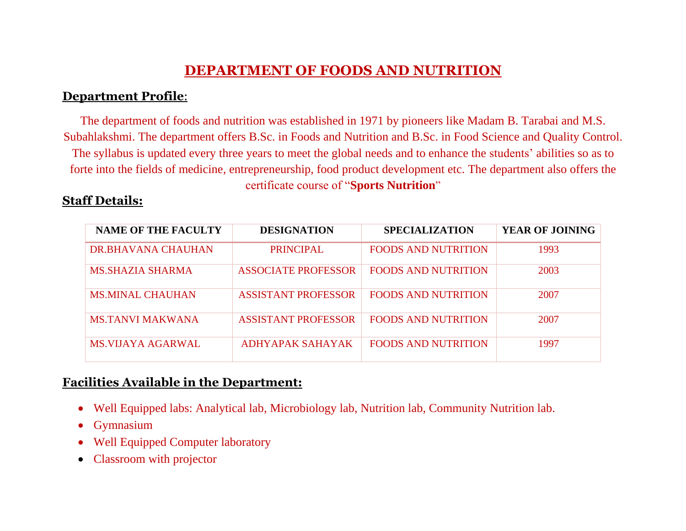# **DEPARTMENT OF FOODS AND NUTRITION**

#### **Department Profile**:

The department of foods and nutrition was established in 1971 by pioneers like Madam B. Tarabai and M.S. Subahlakshmi. The department offers B.Sc. in Foods and Nutrition and B.Sc. in Food Science and Quality Control. The syllabus is updated every three years to meet the global needs and to enhance the students' abilities so as to forte into the fields of medicine, entrepreneurship, food product development etc. The department also offers the certificate course of "**Sports Nutrition**"

### **Staff Details:**

| <b>NAME OF THE FACULTY</b> | <b>DESIGNATION</b>         | <b>SPECIALIZATION</b>      | <b>YEAR OF JOINING</b> |
|----------------------------|----------------------------|----------------------------|------------------------|
| DR.BHAVANA CHAUHAN         | <b>PRINCIPAL</b>           | <b>FOODS AND NUTRITION</b> | 1993                   |
| MS.SHAZIA SHARMA           | <b>ASSOCIATE PROFESSOR</b> | <b>FOODS AND NUTRITION</b> | 2003                   |
| <b>MS.MINAL CHAUHAN</b>    | <b>ASSISTANT PROFESSOR</b> | <b>FOODS AND NUTRITION</b> | 2007                   |
| MS TANVI MAKWANA           | <b>ASSISTANT PROFESSOR</b> | <b>FOODS AND NUTRITION</b> | 2007                   |
| MS VIJAYA AGARWAL          | ADHYAPAK SAHAYAK           | <b>FOODS AND NUTRITION</b> | 1997                   |

## **Facilities Available in the Department:**

- Well Equipped labs: Analytical lab, Microbiology lab, Nutrition lab, Community Nutrition lab.
- Gymnasium
- Well Equipped Computer laboratory
- Classroom with projector